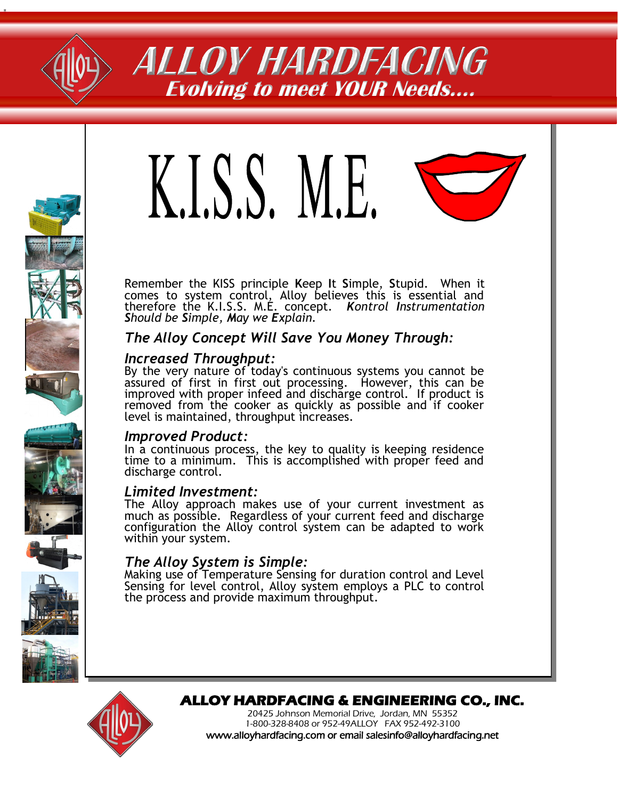

# ALLOY HARDFACING **Evolving to meet YOUR Needs….**



Remember the KISS principle **K**eep **I**t **S**imple, **S**tupid. When it comes to system control, Alloy believes this is essential and therefore the K.I.S.S. M.E. concept*. Kontrol Instrumentation Should be Simple, May we Explain.* 

# *The Alloy Concept Will Save You Money Through:*

#### *Increased Throughput:*

By the very nature of today's continuous systems you cannot be assured of first in first out processing. However, this can be improved with proper infeed and discharge control. If product is removed from the cooker as quickly as possible and if cooker level is maintained, throughput increases.

## *Improved Product:*

In a continuous process, the key to quality is keeping residence time to a minimum. This is accomplished with proper feed and discharge control.

#### *Limited Investment:*

The Alloy approach makes use of your current investment as much as possible. Regardless of your current feed and discharge configuration the Alloy control system can be adapted to work within your system.

## *The Alloy System is Simple:*

Making use of Temperature Sensing for duration control and Level Sensing for level control, Alloy system employs a PLC to control the process and provide maximum throughput.





# **ALLOY HARDFACING & ENGINEERING CO., INC.**

20425 Johnson Memorial Drive, Jordan, MN 55352 1-800-328-8408 or 952-49ALLOY FAX 952-492-3100 www.alloyhardfacing.com or email salesinfo@alloyhardfacing.net